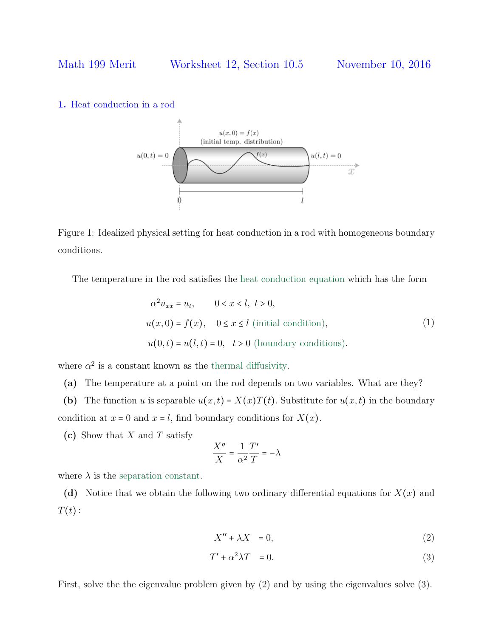### 1. Heat conduction in a rod



Figure 1: Idealized physical setting for heat conduction in a rod with homogeneous boundary conditions.

The temperature in the rod satisfies the heat conduction equation which has the form

$$
\alpha^2 u_{xx} = u_t, \qquad 0 < x < l, \ t > 0,
$$
\n
$$
u(x, 0) = f(x), \quad 0 \le x \le l \text{ (initial condition)},
$$
\n
$$
u(0, t) = u(l, t) = 0, \quad t > 0 \text{ (boundary conditions)}.
$$
\n
$$
(1)
$$

where  $\alpha^2$  is a constant known as the thermal diffusivity.

(a) The temperature at a point on the rod depends on two variables. What are they?

(b) The function u is separable  $u(x,t) = X(x)T(t)$ . Substitute for  $u(x,t)$  in the boundary condition at  $x = 0$  and  $x = l$ , find boundary conditions for  $X(x)$ .

(c) Show that  $X$  and  $T$  satisfy

$$
\frac{X''}{X}=\frac{1}{\alpha^2}\frac{T'}{T}=-\lambda
$$

where  $\lambda$  is the separation constant.

(d) Notice that we obtain the following two ordinary differential equations for  $X(x)$  and  $T(t)$ :

$$
X'' + \lambda X = 0,\t\t(2)
$$

$$
T' + \alpha^2 \lambda T = 0. \tag{3}
$$

First, solve the the eigenvalue problem given by (2) and by using the eigenvalues solve (3).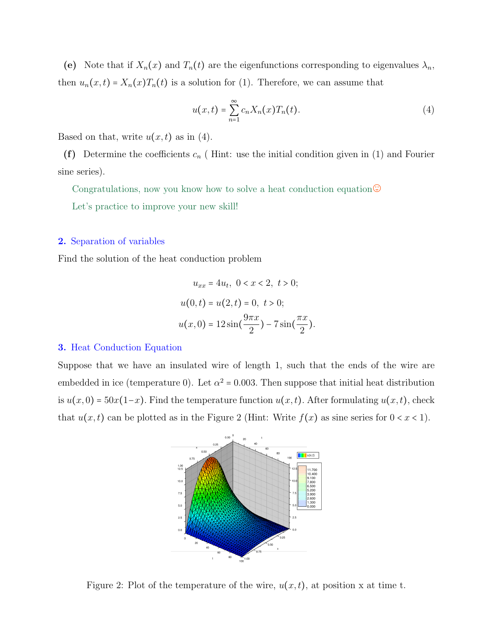(e) Note that if  $X_n(x)$  and  $T_n(t)$  are the eigenfunctions corresponding to eigenvalues  $\lambda_n$ , then  $u_n(x,t) = X_n(x)T_n(t)$  is a solution for (1). Therefore, we can assume that

$$
u(x,t) = \sum_{n=1}^{\infty} c_n X_n(x) T_n(t).
$$
 (4)

Based on that, write  $u(x, t)$  as in (4).

(f) Determine the coefficients  $c_n$  (Hint: use the initial condition given in (1) and Fourier sine series).

Congratulations, now you know how to solve a heat conduction equation. $\odot$ 

Let's practice to improve your new skill!

### 2. Separation of variables

Find the solution of the heat conduction problem

$$
u_{xx} = 4u_t, \ 0 < x < 2, \ t > 0;
$$
\n
$$
u(0, t) = u(2, t) = 0, \ t > 0;
$$
\n
$$
u(x, 0) = 12\sin\left(\frac{9\pi x}{2}\right) - 7\sin\left(\frac{\pi x}{2}\right).
$$

#### 3. Heat Conduction Equation

Suppose that we have an insulated wire of length 1, such that the ends of the wire are embedded in ice (temperature 0). Let  $\alpha^2 = 0.003$ . Then suppose that initial heat distribution is  $u(x, 0) = 50x(1-x)$ . Find the temperature function  $u(x, t)$ . After formulating  $u(x, t)$ , check that  $u(x, t)$  can be plotted as in the Figure 2 (Hint: Write  $f(x)$  as sine series for  $0 < x < 1$ ).



Figure 2: Plot of the temperature of the wire,  $u(x, t)$ , at position x at time t.